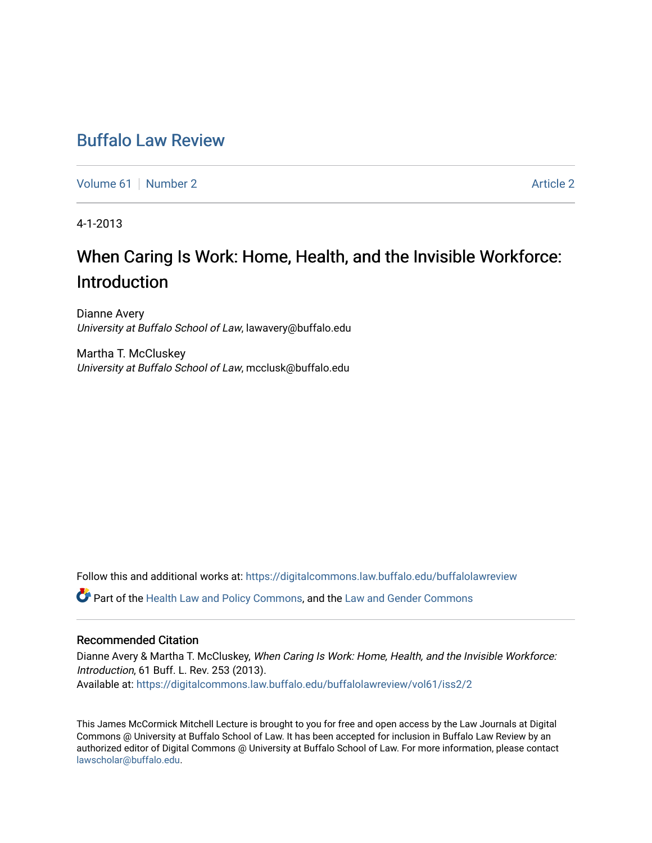### [Buffalo Law Review](https://digitalcommons.law.buffalo.edu/buffalolawreview)

[Volume 61](https://digitalcommons.law.buffalo.edu/buffalolawreview/vol61) [Number 2](https://digitalcommons.law.buffalo.edu/buffalolawreview/vol61/iss2) [Article 2](https://digitalcommons.law.buffalo.edu/buffalolawreview/vol61/iss2/2) Article 2 Article 2 Article 2 Article 2 Article 2 Article 2

4-1-2013

# When Caring Is Work: Home, Health, and the Invisible Workforce: Introduction

Dianne Avery University at Buffalo School of Law, lawavery@buffalo.edu

Martha T. McCluskey University at Buffalo School of Law, mcclusk@buffalo.edu

Follow this and additional works at: [https://digitalcommons.law.buffalo.edu/buffalolawreview](https://digitalcommons.law.buffalo.edu/buffalolawreview?utm_source=digitalcommons.law.buffalo.edu%2Fbuffalolawreview%2Fvol61%2Fiss2%2F2&utm_medium=PDF&utm_campaign=PDFCoverPages) 

Part of the [Health Law and Policy Commons](http://network.bepress.com/hgg/discipline/901?utm_source=digitalcommons.law.buffalo.edu%2Fbuffalolawreview%2Fvol61%2Fiss2%2F2&utm_medium=PDF&utm_campaign=PDFCoverPages), and the [Law and Gender Commons](http://network.bepress.com/hgg/discipline/1298?utm_source=digitalcommons.law.buffalo.edu%2Fbuffalolawreview%2Fvol61%2Fiss2%2F2&utm_medium=PDF&utm_campaign=PDFCoverPages) 

#### Recommended Citation

Dianne Avery & Martha T. McCluskey, When Caring Is Work: Home, Health, and the Invisible Workforce: Introduction, 61 Buff. L. Rev. 253 (2013). Available at: [https://digitalcommons.law.buffalo.edu/buffalolawreview/vol61/iss2/2](https://digitalcommons.law.buffalo.edu/buffalolawreview/vol61/iss2/2?utm_source=digitalcommons.law.buffalo.edu%2Fbuffalolawreview%2Fvol61%2Fiss2%2F2&utm_medium=PDF&utm_campaign=PDFCoverPages) 

This James McCormick Mitchell Lecture is brought to you for free and open access by the Law Journals at Digital Commons @ University at Buffalo School of Law. It has been accepted for inclusion in Buffalo Law Review by an authorized editor of Digital Commons @ University at Buffalo School of Law. For more information, please contact [lawscholar@buffalo.edu](mailto:lawscholar@buffalo.edu).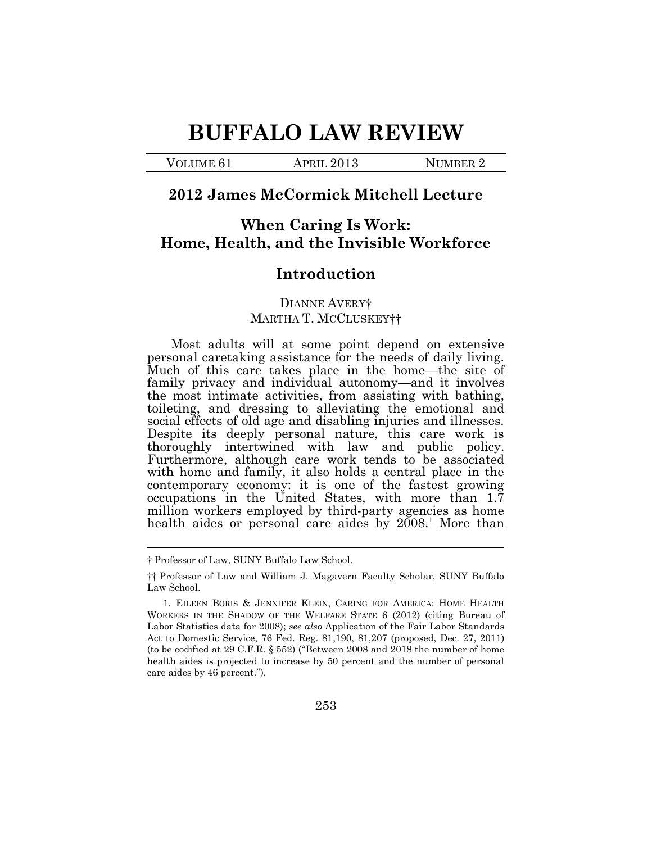# **BUFFALO LAW REVIEW**

VOLUME 61 APRIL 2013 NUMBER 2

#### **2012 James McCormick Mitchell Lecture**

### **When Caring Is Work: Home, Health, and the Invisible Workforce**

#### **Introduction**

#### DIANNE AVERY† MARTHA T. MCCLUSKEY††

Most adults will at some point depend on extensive personal caretaking assistance for the needs of daily living. Much of this care takes place in the home—the site of family privacy and individual autonomy—and it involves the most intimate activities, from assisting with bathing, toileting, and dressing to alleviating the emotional and social effects of old age and disabling injuries and illnesses. Despite its deeply personal nature, this care work is thoroughly intertwined with law and public policy. Furthermore, although care work tends to be associated with home and family, it also holds a central place in the contemporary economy: it is one of the fastest growing occupations in the United States, with more than 1.7 million workers employed by third-party agencies as home health aides or personal care aides by  $2008$ <sup>1</sup> More than

<sup>†</sup> Professor of Law, SUNY Buffalo Law School.

<sup>††</sup> Professor of Law and William J. Magavern Faculty Scholar, SUNY Buffalo Law School.

<sup>1</sup>*.* EILEEN BORIS & JENNIFER KLEIN, CARING FOR AMERICA: HOME HEALTH WORKERS IN THE SHADOW OF THE WELFARE STATE 6 (2012) (citing Bureau of Labor Statistics data for 2008); *see also* Application of the Fair Labor Standards Act to Domestic Service, 76 Fed. Reg. 81,190, 81,207 (proposed, Dec. 27, 2011) (to be codified at 29 C.F.R. § 552) ("Between 2008 and 2018 the number of home health aides is projected to increase by 50 percent and the number of personal care aides by 46 percent.").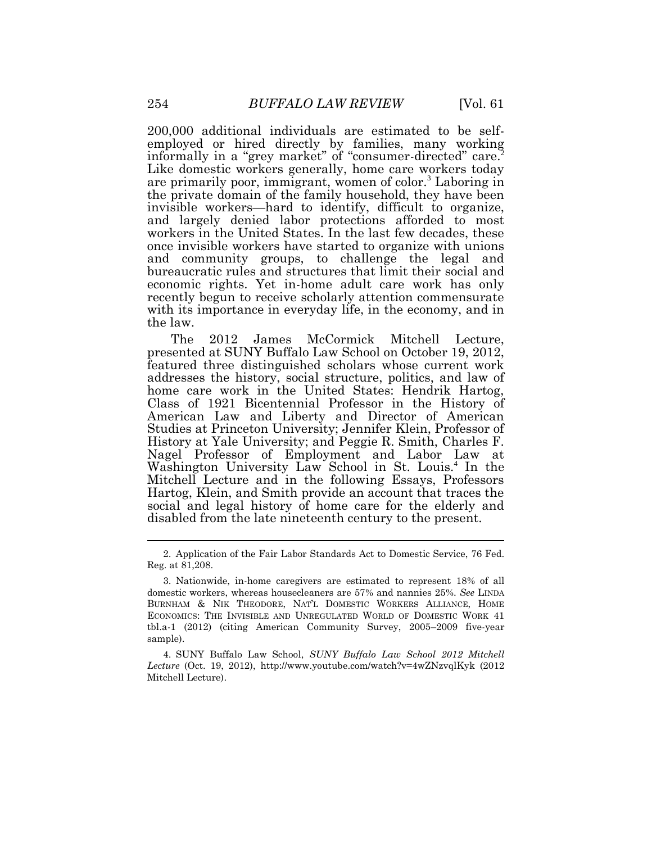200,000 additional individuals are estimated to be selfemployed or hired directly by families, many working informally in a "grey market" of "consumer-directed" care.<sup>2</sup> Like domestic workers generally, home care workers today are primarily poor, immigrant, women of color.<sup>3</sup> Laboring in the private domain of the family household, they have been invisible workers—hard to identify, difficult to organize, and largely denied labor protections afforded to most workers in the United States. In the last few decades, these once invisible workers have started to organize with unions and community groups, to challenge the legal and bureaucratic rules and structures that limit their social and economic rights. Yet in-home adult care work has only recently begun to receive scholarly attention commensurate with its importance in everyday life, in the economy, and in the law.

The 2012 James McCormick Mitchell Lecture, presented at SUNY Buffalo Law School on October 19, 2012, featured three distinguished scholars whose current work addresses the history, social structure, politics, and law of home care work in the United States: Hendrik Hartog, Class of 1921 Bicentennial Professor in the History of American Law and Liberty and Director of American Studies at Princeton University; Jennifer Klein, Professor of History at Yale University; and Peggie R. Smith, Charles F. Nagel Professor of Employment and Labor Law at Washington University Law School in St. Louis.<sup>4</sup> In the Mitchell Lecture and in the following Essays, Professors Hartog, Klein, and Smith provide an account that traces the social and legal history of home care for the elderly and disabled from the late nineteenth century to the present.

4. SUNY Buffalo Law School, *SUNY Buffalo Law School 2012 Mitchell Lecture* (Oct. 19, 2012),<http://www.youtube.com/watch?v=4wZNzvqlKyk> (2012 Mitchell Lecture).

<sup>2.</sup> Application of the Fair Labor Standards Act to Domestic Service, 76 Fed. Reg. at 81,208.

<sup>3.</sup> Nationwide, in-home caregivers are estimated to represent 18% of all domestic workers, whereas housecleaners are 57% and nannies 25%. *See* LINDA BURNHAM & NIK THEODORE, NAT'L DOMESTIC WORKERS ALLIANCE, HOME ECONOMICS: THE INVISIBLE AND UNREGULATED WORLD OF DOMESTIC WORK 41 tbl.a-1 (2012) (citing American Community Survey, 2005–2009 five-year sample).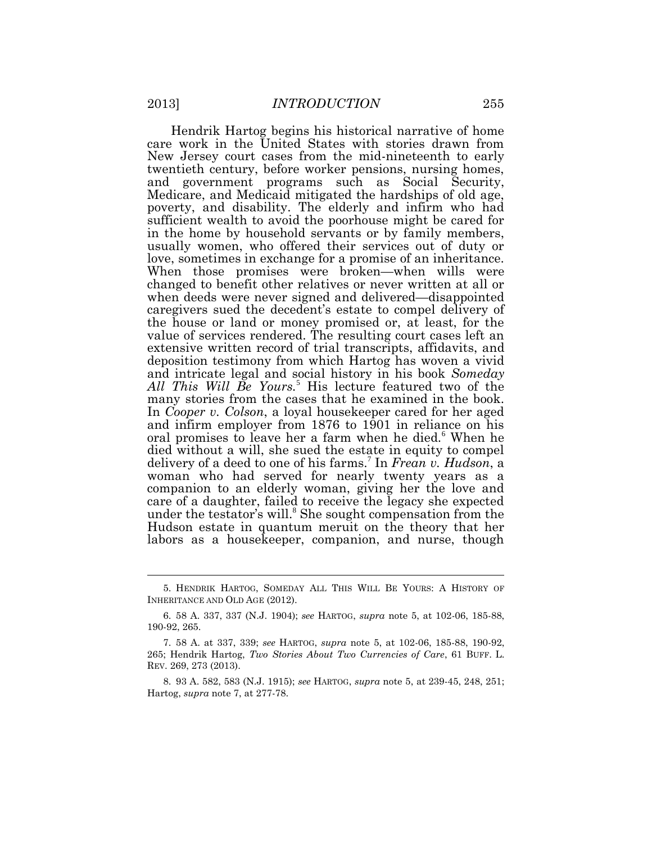Hendrik Hartog begins his historical narrative of home care work in the United States with stories drawn from New Jersey court cases from the mid-nineteenth to early twentieth century, before worker pensions, nursing homes, and government programs such as Social Security, Medicare, and Medicaid mitigated the hardships of old age, poverty, and disability. The elderly and infirm who had sufficient wealth to avoid the poorhouse might be cared for in the home by household servants or by family members, usually women, who offered their services out of duty or love, sometimes in exchange for a promise of an inheritance. When those promises were broken—when wills were changed to benefit other relatives or never written at all or when deeds were never signed and delivered—disappointed caregivers sued the decedent's estate to compel delivery of the house or land or money promised or, at least, for the value of services rendered. The resulting court cases left an extensive written record of trial transcripts, affidavits, and deposition testimony from which Hartog has woven a vivid and intricate legal and social history in his book *Someday All This Will Be Yours.*<sup>5</sup> His lecture featured two of the many stories from the cases that he examined in the book. In *Cooper v. Colson*, a loyal housekeeper cared for her aged and infirm employer from 1876 to 1901 in reliance on his oral promises to leave her a farm when he died.<sup>6</sup> When he died without a will, she sued the estate in equity to compel delivery of a deed to one of his farms.<sup>7</sup> In *Frean v. Hudson*, a woman who had served for nearly twenty years as a companion to an elderly woman, giving her the love and care of a daughter, failed to receive the legacy she expected under the testator's will.<sup>8</sup> She sought compensation from the Hudson estate in quantum meruit on the theory that her labors as a housekeeper, companion, and nurse, though

<sup>5.</sup> HENDRIK HARTOG, SOMEDAY ALL THIS WILL BE YOURS: A HISTORY OF INHERITANCE AND OLD AGE (2012).

<sup>6.</sup> 58 A. 337, 337 (N.J. 1904); *see* HARTOG, *supra* note 5, at 102-06, 185-88, 190-92, 265.

<sup>7.</sup> 58 A. at 337, 339; *see* HARTOG, *supra* note 5, at 102-06, 185-88, 190-92, 265; Hendrik Hartog, *Two Stories About Two Currencies of Care*, 61 BUFF. L. REV. 269, 273 (2013).

<sup>8.</sup> 93 A. 582, 583 (N.J. 1915); *see* HARTOG, *supra* note 5, at 239-45, 248, 251; Hartog, *supra* note 7, at 277-78.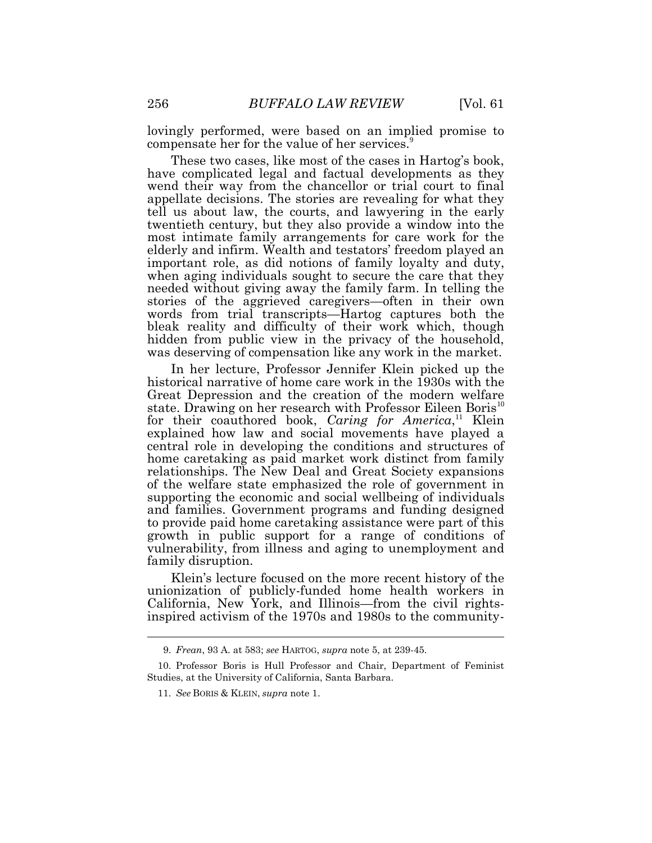lovingly performed, were based on an implied promise to compensate her for the value of her services.<sup>9</sup>

These two cases, like most of the cases in Hartog's book, have complicated legal and factual developments as they wend their way from the chancellor or trial court to final appellate decisions. The stories are revealing for what they tell us about law, the courts, and lawyering in the early twentieth century, but they also provide a window into the most intimate family arrangements for care work for the elderly and infirm. Wealth and testators' freedom played an important role, as did notions of family loyalty and duty, when aging individuals sought to secure the care that they needed without giving away the family farm. In telling the stories of the aggrieved caregivers—often in their own words from trial transcripts—Hartog captures both the bleak reality and difficulty of their work which, though hidden from public view in the privacy of the household, was deserving of compensation like any work in the market.

In her lecture, Professor Jennifer Klein picked up the historical narrative of home care work in the 1930s with the Great Depression and the creation of the modern welfare state. Drawing on her research with Professor Eileen Boris<sup>10</sup> for their coauthored book, *Caring for America*,<sup>11</sup> Klein explained how law and social movements have played a central role in developing the conditions and structures of home caretaking as paid market work distinct from family relationships. The New Deal and Great Society expansions of the welfare state emphasized the role of government in supporting the economic and social wellbeing of individuals and families. Government programs and funding designed to provide paid home caretaking assistance were part of this growth in public support for a range of conditions of vulnerability, from illness and aging to unemployment and family disruption.

Klein's lecture focused on the more recent history of the unionization of publicly-funded home health workers in California, New York, and Illinois—from the civil rightsinspired activism of the 1970s and 1980s to the community-

<sup>9.</sup> *Frean*, 93 A. at 583; *see* HARTOG, *supra* note 5, at 239-45.

<sup>10.</sup> Professor Boris is Hull Professor and Chair, Department of Feminist Studies, at the University of California, Santa Barbara.

<sup>11.</sup> *See* BORIS & KLEIN, *supra* note 1.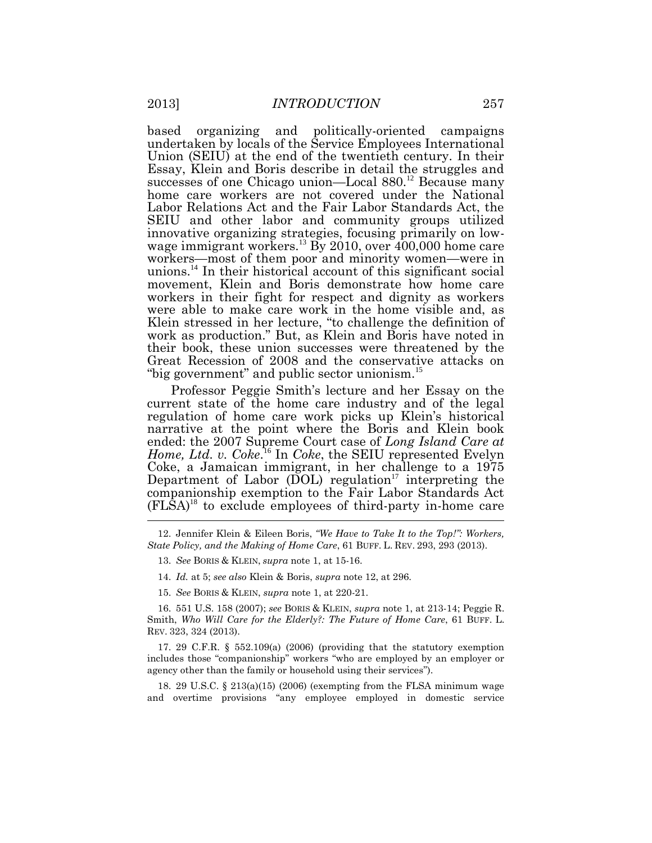based organizing and politically-oriented campaigns undertaken by locals of the Service Employees International Union (SEIU) at the end of the twentieth century. In their Essay, Klein and Boris describe in detail the struggles and successes of one Chicago union—Local 880.<sup>12</sup> Because many home care workers are not covered under the National Labor Relations Act and the Fair Labor Standards Act, the SEIU and other labor and community groups utilized innovative organizing strategies, focusing primarily on lowwage immigrant workers.<sup>13</sup> By 2010, over 400,000 home care workers—most of them poor and minority women—were in unions.<sup>14</sup> In their historical account of this significant social movement, Klein and Boris demonstrate how home care workers in their fight for respect and dignity as workers were able to make care work in the home visible and, as Klein stressed in her lecture, "to challenge the definition of work as production." But, as Klein and Boris have noted in their book, these union successes were threatened by the Great Recession of 2008 and the conservative attacks on "big government" and public sector unionism.<sup>15</sup>

Professor Peggie Smith's lecture and her Essay on the current state of the home care industry and of the legal regulation of home care work picks up Klein's historical narrative at the point where the Boris and Klein book ended: the 2007 Supreme Court case of *Long Island Care at*  Home, Ltd. v. Coke.<sup>16</sup> In Coke, the SEIU represented Evelyn Coke, a Jamaican immigrant, in her challenge to a 1975 Department of Labor (DOL) regulation<sup>17</sup> interpreting the companionship exemption to the Fair Labor Standards Act  $(FL\bar{S}A)^{18}$  to exclude employees of third-party in-home care

15. *See* BORIS & KLEIN, *supra* note 1, at 220-21.

16. 551 U.S. 158 (2007); *see* BORIS & KLEIN, *supra* note 1, at 213-14; Peggie R. Smith, *Who Will Care for the Elderly?: The Future of Home Care*, 61 BUFF. L. REV. 323, 324 (2013).

17. 29 C.F.R. § 552.109(a) (2006) (providing that the statutory exemption includes those "companionship" workers "who are employed by an employer or agency other than the family or household using their services").

18. 29 U.S.C. § 213(a)(15) (2006) (exempting from the FLSA minimum wage and overtime provisions "any employee employed in domestic service

<sup>12.</sup> Jennifer Klein & Eileen Boris, *"We Have to Take It to the Top!": Workers, State Policy, and the Making of Home Care*, 61 BUFF. L. REV. 293, 293 (2013).

<sup>13.</sup> *See* BORIS & KLEIN, *supra* note 1, at 15-16.

<sup>14.</sup> *Id.* at 5; *see also* Klein & Boris, *supra* note 12, at 296.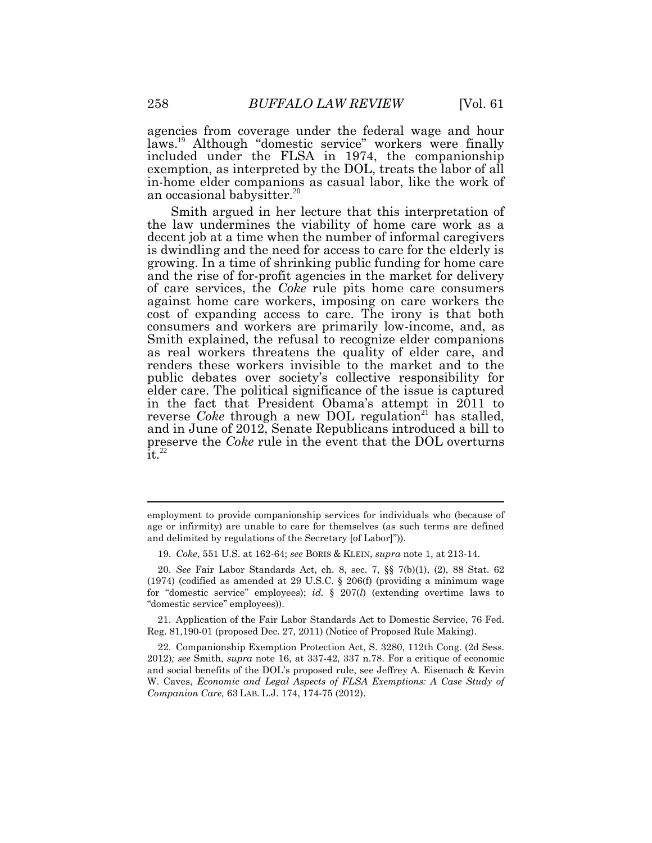agencies from coverage under the federal wage and hour laws.<sup>19</sup> Although "domestic service" workers were finally included under the FLSA in 1974, the companionship exemption, as interpreted by the DOL, treats the labor of all in-home elder companions as casual labor, like the work of an occasional babysitter.<sup>20</sup>

Smith argued in her lecture that this interpretation of the law undermines the viability of home care work as a decent job at a time when the number of informal caregivers is dwindling and the need for access to care for the elderly is growing. In a time of shrinking public funding for home care and the rise of for-profit agencies in the market for delivery of care services, the *Coke* rule pits home care consumers against home care workers, imposing on care workers the cost of expanding access to care. The irony is that both consumers and workers are primarily low-income, and, as Smith explained, the refusal to recognize elder companions as real workers threatens the quality of elder care, and renders these workers invisible to the market and to the public debates over society's collective responsibility for elder care. The political significance of the issue is captured in the fact that President Obama's attempt in 2011 to reverse *Coke* through a new DOL regulation<sup>21</sup> has stalled, and in June of 2012, Senate Republicans introduced a bill to preserve the *Coke* rule in the event that the DOL overturns  $\overline{1}$ t.<sup>22</sup>

21. Application of the Fair Labor Standards Act to Domestic Service, 76 Fed. Reg. 81,190-01 (proposed Dec. 27, 2011) (Notice of Proposed Rule Making).

employment to provide companionship services for individuals who (because of age or infirmity) are unable to care for themselves (as such terms are defined and delimited by regulations of the Secretary [of Labor]")).

<sup>19.</sup> *Coke*, 551 U.S. at 162-64; *see* BORIS & KLEIN, *supra* note 1, at 213-14.

<sup>20.</sup> *See* Fair Labor Standards Act, ch. 8, sec. 7, §§ 7(b)(1), (2), 88 Stat. 62 (1974) (codified as amended at 29 U.S.C.  $\S$  206(f) (providing a minimum wage for "domestic service" employees); *id.* § 207(*l*) (extending overtime laws to "domestic service" employees)).

<sup>22.</sup> Companionship Exemption Protection Act, S. 3280, 112th Cong. (2d Sess. 2012)*; see* Smith, *supra* note 16, at 337-42, 337 n.78. For a critique of economic and social benefits of the DOL's proposed rule, see Jeffrey A. Eisenach & Kevin W. Caves, *Economic and Legal Aspects of FLSA Exemptions: A Case Study of Companion Care,* 63 LAB. L.J. 174, 174-75 (2012).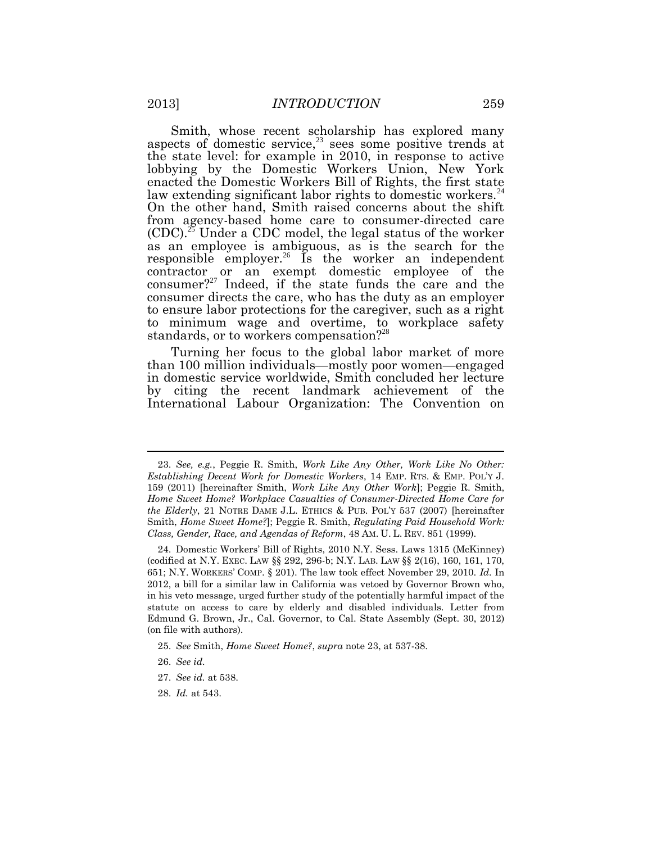Smith, whose recent scholarship has explored many aspects of domestic service, $23$  sees some positive trends at the state level: for example in 2010, in response to active lobbying by the Domestic Workers Union, New York enacted the Domestic Workers Bill of Rights, the first state law extending significant labor rights to domestic workers.<sup>24</sup> On the other hand, Smith raised concerns about the shift from agency-based home care to consumer-directed care  $(CDC)^{25}$  Under a CDC model, the legal status of the worker as an employee is ambiguous, as is the search for the responsible employer.<sup>26</sup> Is the worker an independent contractor or an exempt domestic employee of the consumer?<sup>27</sup> Indeed, if the state funds the care and the consumer directs the care, who has the duty as an employer to ensure labor protections for the caregiver, such as a right to minimum wage and overtime, to workplace safety standards, or to workers compensation?<sup>28</sup>

Turning her focus to the global labor market of more than 100 million individuals—mostly poor women—engaged in domestic service worldwide, Smith concluded her lecture by citing the recent landmark achievement of the International Labour Organization: The Convention on

<sup>23.</sup> *See, e.g.*, Peggie R. Smith, *Work Like Any Other, Work Like No Other: Establishing Decent Work for Domestic Workers*, 14 EMP. RTS. & EMP. POL'Y J. 159 (2011) [hereinafter Smith, *Work Like Any Other Work*]; Peggie R. Smith, *Home Sweet Home? Workplace Casualties of Consumer-Directed Home Care for the Elderly*, 21 NOTRE DAME J.L. ETHICS & PUB. POL'Y 537 (2007) [hereinafter Smith, *Home Sweet Home?*]; Peggie R. Smith, *Regulating Paid Household Work: Class, Gender, Race, and Agendas of Reform*, 48 AM. U. L. REV. 851 (1999).

<sup>24.</sup> Domestic Workers' Bill of Rights, 2010 N.Y. Sess. Laws 1315 (McKinney) (codified at N.Y. EXEC. LAW §§ 292, 296-b; N.Y. LAB. LAW §§ 2(16), 160, 161, 170, 651; N.Y. WORKERS' COMP. § 201). The law took effect November 29, 2010. *Id.* In 2012, a bill for a similar law in California was vetoed by Governor Brown who, in his veto message, urged further study of the potentially harmful impact of the statute on access to care by elderly and disabled individuals. Letter from Edmund G. Brown, Jr., Cal. Governor, to Cal. State Assembly (Sept. 30, 2012) (on file with authors).

<sup>25.</sup> *See* Smith, *Home Sweet Home?*, *supra* note 23, at 537-38.

<sup>26.</sup> *See id.*

<sup>27.</sup> *See id.* at 538.

<sup>28.</sup> *Id.* at 543.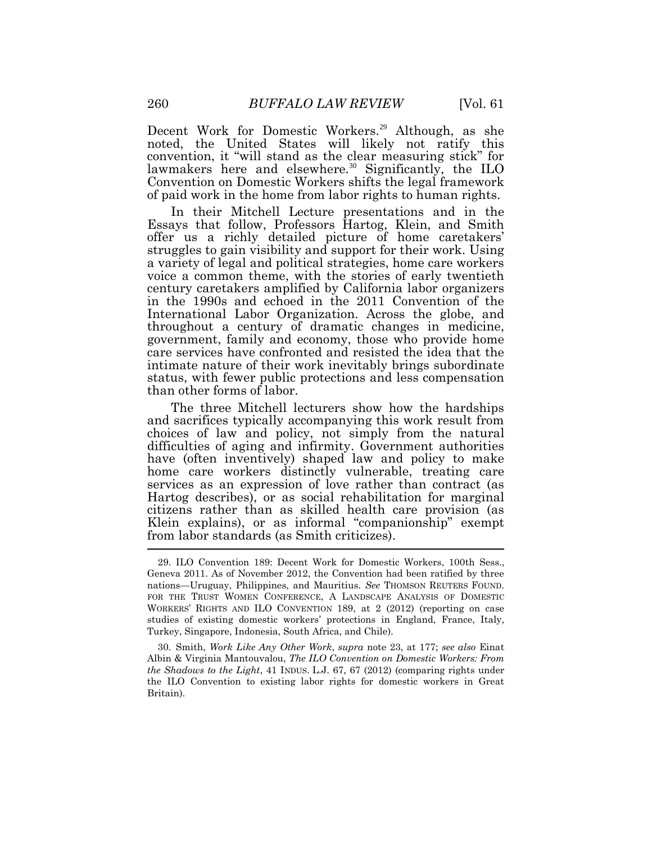Decent Work for Domestic Workers.<sup>29</sup> Although, as she noted, the United States will likely not ratify this convention, it "will stand as the clear measuring stick" for lawmakers here and elsewhere.<sup>30</sup> Significantly, the ILO Convention on Domestic Workers shifts the legal framework of paid work in the home from labor rights to human rights.

In their Mitchell Lecture presentations and in the Essays that follow, Professors Hartog, Klein, and Smith offer us a richly detailed picture of home caretakers' struggles to gain visibility and support for their work. Using a variety of legal and political strategies, home care workers voice a common theme, with the stories of early twentieth century caretakers amplified by California labor organizers in the 1990s and echoed in the 2011 Convention of the International Labor Organization. Across the globe, and throughout a century of dramatic changes in medicine, government, family and economy, those who provide home care services have confronted and resisted the idea that the intimate nature of their work inevitably brings subordinate status, with fewer public protections and less compensation than other forms of labor.

The three Mitchell lecturers show how the hardships and sacrifices typically accompanying this work result from choices of law and policy, not simply from the natural difficulties of aging and infirmity. Government authorities have (often inventively) shaped law and policy to make home care workers distinctly vulnerable, treating care services as an expression of love rather than contract (as Hartog describes), or as social rehabilitation for marginal citizens rather than as skilled health care provision (as Klein explains), or as informal "companionship" exempt from labor standards (as Smith criticizes).

30. Smith, *Work Like Any Other Work*, *supra* note 23, at 177; *see also* Einat Albin & Virginia Mantouvalou, *The ILO Convention on Domestic Workers: From the Shadows to the Light*, 41 INDUS. L.J. 67, 67 (2012) (comparing rights under the ILO Convention to existing labor rights for domestic workers in Great Britain).

<sup>29.</sup> ILO Convention 189: Decent Work for Domestic Workers, 100th Sess., Geneva 2011. As of November 2012, the Convention had been ratified by three nations—Uruguay, Philippines, and Mauritius. *See* THOMSON REUTERS FOUND. FOR THE TRUST WOMEN CONFERENCE, A LANDSCAPE ANALYSIS OF DOMESTIC WORKERS' RIGHTS AND ILO CONVENTION 189, at 2 (2012) (reporting on case studies of existing domestic workers' protections in England, France, Italy, Turkey, Singapore, Indonesia, South Africa, and Chile).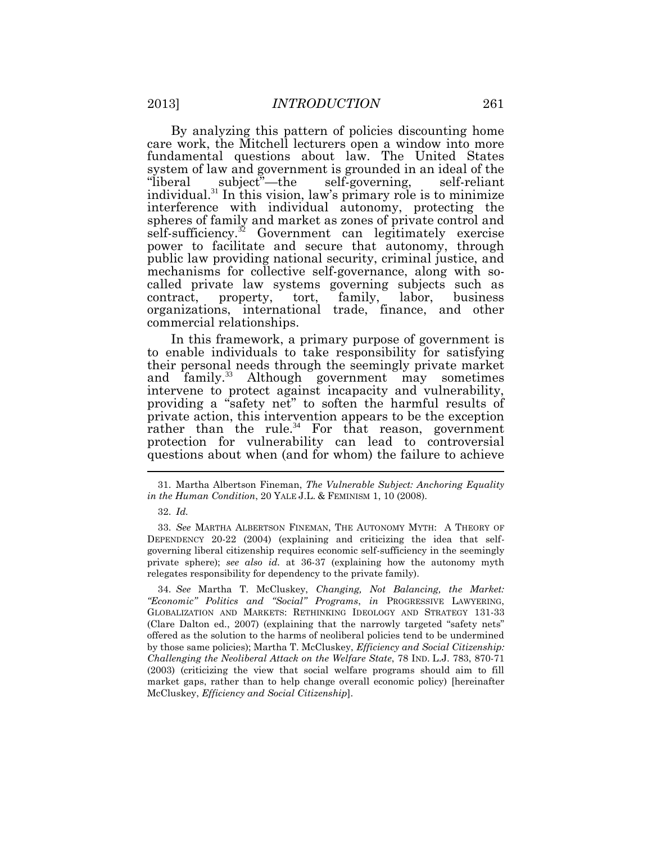By analyzing this pattern of policies discounting home care work, the Mitchell lecturers open a window into more fundamental questions about law. The United States system of law and government is grounded in an ideal of the "liberal" subject"—the self-governing, self-reliant subject"—the self-governing, self-reliant individual.<sup>31</sup> In this vision, law's primary role is to minimize interference with individual autonomy, protecting the spheres of family and market as zones of private control and self-sufficiency.<sup>32</sup> Government can legitimately exercise power to facilitate and secure that autonomy, through public law providing national security, criminal justice, and mechanisms for collective self-governance, along with socalled private law systems governing subjects such as contract, property, tort, family, labor, business organizations, international trade, finance, and other commercial relationships.

In this framework, a primary purpose of government is to enable individuals to take responsibility for satisfying their personal needs through the seemingly private market and family.<sup>33</sup> Although government may sometimes intervene to protect against incapacity and vulnerability, providing a "safety net" to soften the harmful results of private action, this intervention appears to be the exception rather than the rule.<sup>34</sup> For that reason, government protection for vulnerability can lead to controversial questions about when (and for whom) the failure to achieve

<sup>31.</sup> Martha Albertson Fineman, *The Vulnerable Subject: Anchoring Equality in the Human Condition*, 20 YALE J.L. & FEMINISM 1, 10 (2008).

<sup>32.</sup> *Id.*

<sup>33.</sup> *See* MARTHA ALBERTSON FINEMAN, THE AUTONOMY MYTH: A THEORY OF DEPENDENCY 20-22 (2004) (explaining and criticizing the idea that selfgoverning liberal citizenship requires economic self-sufficiency in the seemingly private sphere); *see also id.* at 36-37 (explaining how the autonomy myth relegates responsibility for dependency to the private family).

<sup>34.</sup> *See* Martha T. McCluskey, *Changing, Not Balancing, the Market: "Economic" Politics and "Social" Programs*, *in* PROGRESSIVE LAWYERING, GLOBALIZATION AND MARKETS: RETHINKING IDEOLOGY AND STRATEGY 131-33 (Clare Dalton ed., 2007) (explaining that the narrowly targeted "safety nets" offered as the solution to the harms of neoliberal policies tend to be undermined by those same policies); Martha T. McCluskey, *Efficiency and Social Citizenship: Challenging the Neoliberal Attack on the Welfare State*, 78 IND. L.J. 783, 870-71 (2003) (criticizing the view that social welfare programs should aim to fill market gaps, rather than to help change overall economic policy) [hereinafter McCluskey, *Efficiency and Social Citizenship*].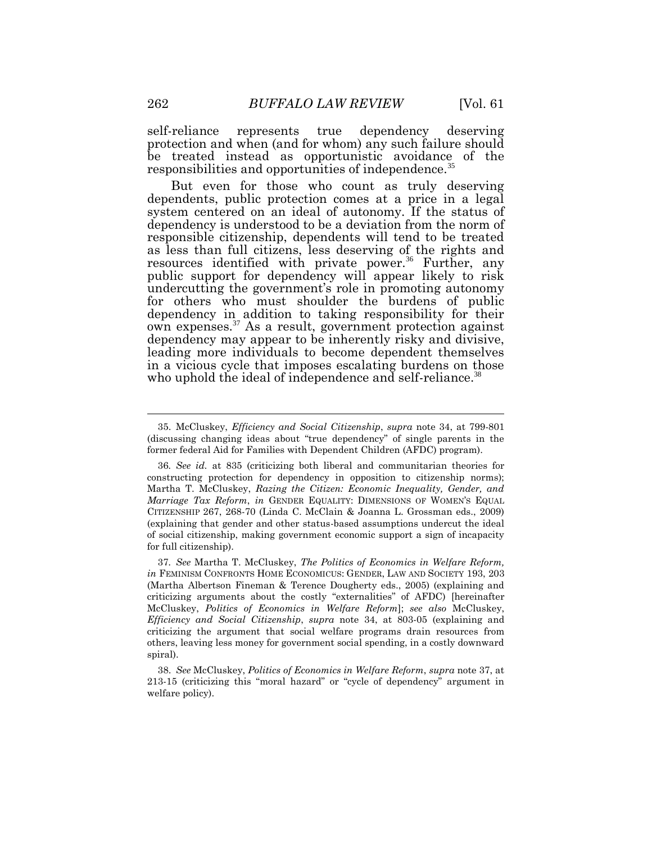self-reliance represents true dependency deserving protection and when (and for whom) any such failure should be treated instead as opportunistic avoidance of the responsibilities and opportunities of independence.<sup>35</sup>

But even for those who count as truly deserving dependents, public protection comes at a price in a legal system centered on an ideal of autonomy. If the status of dependency is understood to be a deviation from the norm of responsible citizenship, dependents will tend to be treated as less than full citizens, less deserving of the rights and resources identified with private power.<sup>36</sup> Further, any public support for dependency will appear likely to risk undercutting the government's role in promoting autonomy for others who must shoulder the burdens of public dependency in addition to taking responsibility for their own expenses.<sup>37</sup> As a result, government protection against dependency may appear to be inherently risky and divisive, leading more individuals to become dependent themselves in a vicious cycle that imposes escalating burdens on those who uphold the ideal of independence and self-reliance.<sup>38</sup>

37*. See* Martha T. McCluskey, *The Politics of Economics in Welfare Reform, in* FEMINISM CONFRONTS HOME ECONOMICUS: GENDER, LAW AND SOCIETY 193, 203 (Martha Albertson Fineman & Terence Dougherty eds., 2005) (explaining and criticizing arguments about the costly "externalities" of AFDC) [hereinafter McCluskey, *Politics of Economics in Welfare Reform*]; *see also* McCluskey, *Efficiency and Social Citizenship*, *supra* note 34, at 803-05 (explaining and criticizing the argument that social welfare programs drain resources from others, leaving less money for government social spending, in a costly downward spiral).

38. *See* McCluskey, *Politics of Economics in Welfare Reform*, *supra* note 37, at 213-15 (criticizing this "moral hazard" or "cycle of dependency" argument in welfare policy).

<sup>35.</sup> McCluskey, *Efficiency and Social Citizenship*, *supra* note 34, at 799-801 (discussing changing ideas about "true dependency" of single parents in the former federal Aid for Families with Dependent Children (AFDC) program).

<sup>36</sup>*. See id.* at 835 (criticizing both liberal and communitarian theories for constructing protection for dependency in opposition to citizenship norms); Martha T. McCluskey, *Razing the Citizen: Economic Inequality, Gender, and Marriage Tax Reform*, *in* GENDER EQUALITY: DIMENSIONS OF WOMEN'S EQUAL CITIZENSHIP 267, 268-70 (Linda C. McClain & Joanna L. Grossman eds., 2009) (explaining that gender and other status-based assumptions undercut the ideal of social citizenship, making government economic support a sign of incapacity for full citizenship).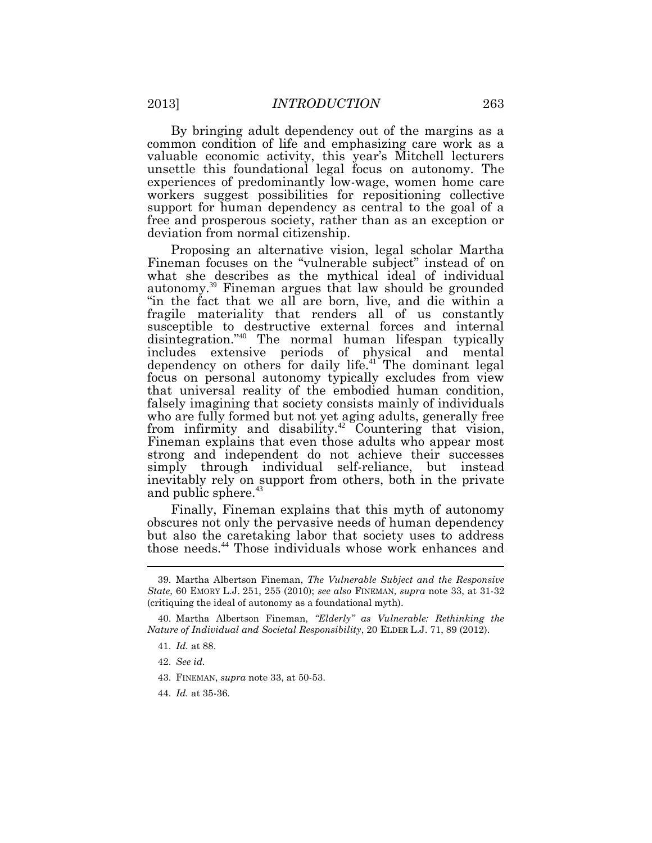By bringing adult dependency out of the margins as a common condition of life and emphasizing care work as a valuable economic activity, this year's Mitchell lecturers unsettle this foundational legal focus on autonomy. The experiences of predominantly low-wage, women home care workers suggest possibilities for repositioning collective support for human dependency as central to the goal of a free and prosperous society, rather than as an exception or deviation from normal citizenship.

Proposing an alternative vision, legal scholar Martha Fineman focuses on the "vulnerable subject" instead of on what she describes as the mythical ideal of individual autonomy.<sup>39</sup> Fineman argues that law should be grounded "in the fact that we all are born, live, and die within a fragile materiality that renders all of us constantly susceptible to destructive external forces and internal disintegration."<sup>40</sup> The normal human lifespan typically includes extensive periods of physical and mental dependency on others for daily life.<sup>41</sup> The dominant legal focus on personal autonomy typically excludes from view that universal reality of the embodied human condition, falsely imagining that society consists mainly of individuals who are fully formed but not yet aging adults, generally free from infirmity and disability.<sup>42</sup> Countering that vision, Fineman explains that even those adults who appear most strong and independent do not achieve their successes simply through individual self-reliance, but instead inevitably rely on support from others, both in the private and public sphere.<sup>43</sup>

Finally, Fineman explains that this myth of autonomy obscures not only the pervasive needs of human dependency but also the caretaking labor that society uses to address those needs.<sup>44</sup> Those individuals whose work enhances and

<sup>39.</sup> Martha Albertson Fineman, *The Vulnerable Subject and the Responsive State*, 60 EMORY L.J. 251, 255 (2010); *see also* FINEMAN, *supra* note 33, at 31-32 (critiquing the ideal of autonomy as a foundational myth).

<sup>40.</sup> Martha Albertson Fineman, *"Elderly" as Vulnerable: Rethinking the Nature of Individual and Societal Responsibility*, 20 ELDER L.J. 71, 89 (2012).

<sup>41.</sup> *Id.* at 88.

<sup>42.</sup> *See id.*

<sup>43.</sup> FINEMAN, *supra* note 33, at 50-53.

<sup>44.</sup> *Id.* at 35-36.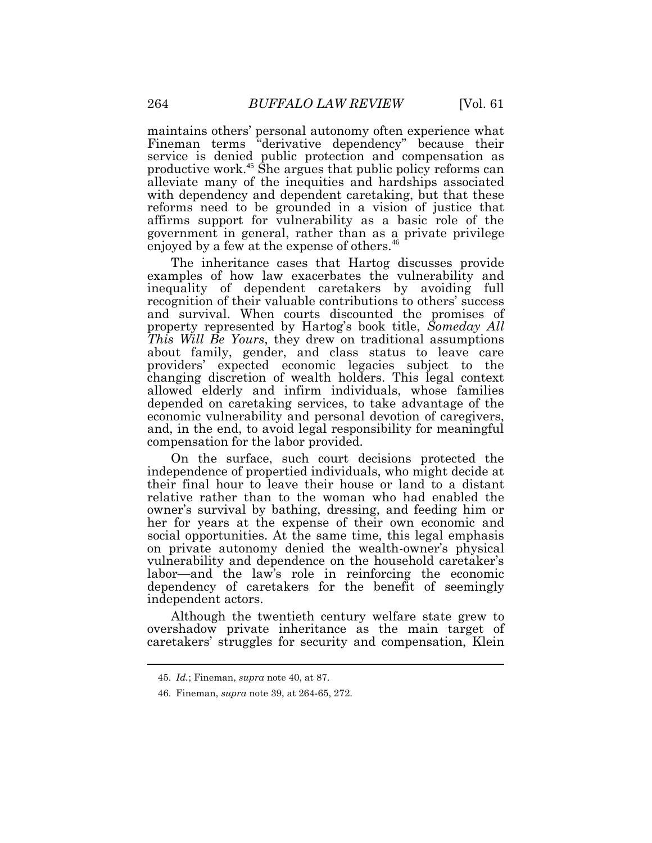maintains others' personal autonomy often experience what Fineman terms "derivative dependency" because their service is denied public protection and compensation as productive work.<sup>45</sup> She argues that public policy reforms can alleviate many of the inequities and hardships associated with dependency and dependent caretaking, but that these reforms need to be grounded in a vision of justice that affirms support for vulnerability as a basic role of the government in general, rather than as a private privilege enjoyed by a few at the expense of others.<sup>46</sup>

The inheritance cases that Hartog discusses provide examples of how law exacerbates the vulnerability and inequality of dependent caretakers by avoiding full recognition of their valuable contributions to others' success and survival. When courts discounted the promises of property represented by Hartog's book title, *Someday All This Will Be Yours*, they drew on traditional assumptions about family, gender, and class status to leave care providers' expected economic legacies subject to the changing discretion of wealth holders. This legal context allowed elderly and infirm individuals, whose families depended on caretaking services, to take advantage of the economic vulnerability and personal devotion of caregivers, and, in the end, to avoid legal responsibility for meaningful compensation for the labor provided.

On the surface, such court decisions protected the independence of propertied individuals, who might decide at their final hour to leave their house or land to a distant relative rather than to the woman who had enabled the owner's survival by bathing, dressing, and feeding him or her for years at the expense of their own economic and social opportunities. At the same time, this legal emphasis on private autonomy denied the wealth-owner's physical vulnerability and dependence on the household caretaker's labor—and the law's role in reinforcing the economic dependency of caretakers for the benefit of seemingly independent actors.

Although the twentieth century welfare state grew to overshadow private inheritance as the main target of caretakers' struggles for security and compensation, Klein

<sup>45.</sup> *Id.*; Fineman, *supra* note 40, at 87.

<sup>46.</sup> Fineman, *supra* note 39, at 264-65, 272.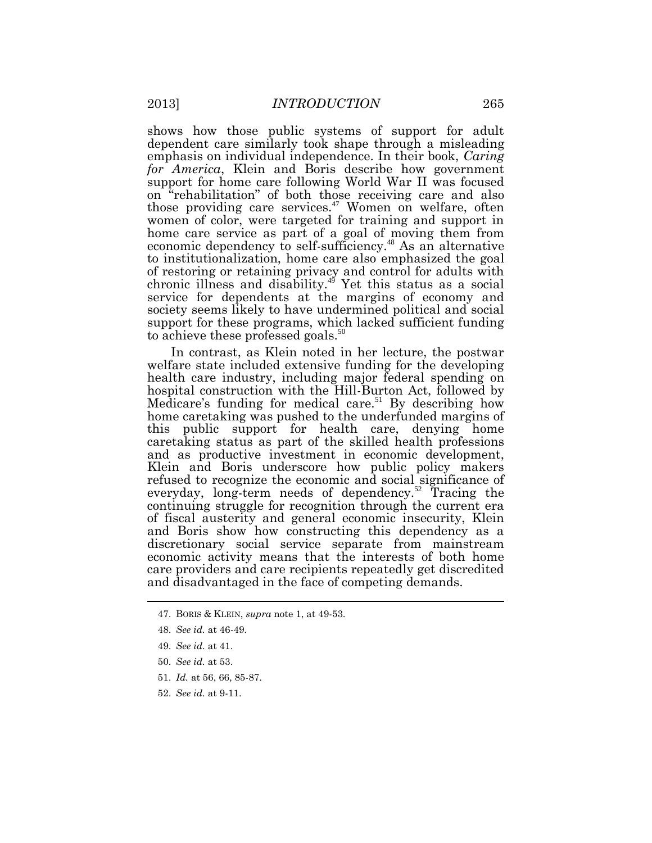shows how those public systems of support for adult dependent care similarly took shape through a misleading emphasis on individual independence. In their book, *Caring for America*, Klein and Boris describe how government support for home care following World War II was focused on "rehabilitation" of both those receiving care and also those providing care services.<sup>47</sup> Women on welfare, often women of color, were targeted for training and support in home care service as part of a goal of moving them from economic dependency to self-sufficiency.<sup>48</sup> As an alternative to institutionalization, home care also emphasized the goal of restoring or retaining privacy and control for adults with chronic illness and disability.<sup>49</sup> Yet this status as a social service for dependents at the margins of economy and society seems likely to have undermined political and social support for these programs, which lacked sufficient funding to achieve these professed goals.<sup>50</sup>

In contrast, as Klein noted in her lecture, the postwar welfare state included extensive funding for the developing health care industry, including major federal spending on hospital construction with the Hill-Burton Act, followed by Medicare's funding for medical care.<sup>51</sup> By describing how home caretaking was pushed to the underfunded margins of this public support for health care, denying home caretaking status as part of the skilled health professions and as productive investment in economic development, Klein and Boris underscore how public policy makers refused to recognize the economic and social significance of everyday, long-term needs of dependency.<sup>52</sup> Tracing the continuing struggle for recognition through the current era of fiscal austerity and general economic insecurity, Klein and Boris show how constructing this dependency as a discretionary social service separate from mainstream economic activity means that the interests of both home care providers and care recipients repeatedly get discredited and disadvantaged in the face of competing demands.

- 47. BORIS & KLEIN, *supra* note 1, at 49-53.
- 48. *See id.* at 46-49.
- 49. *See id.* at 41.
- 50. *See id.* at 53.
- 51. *Id.* at 56, 66, 85-87.
- 52. *See id.* at 9-11.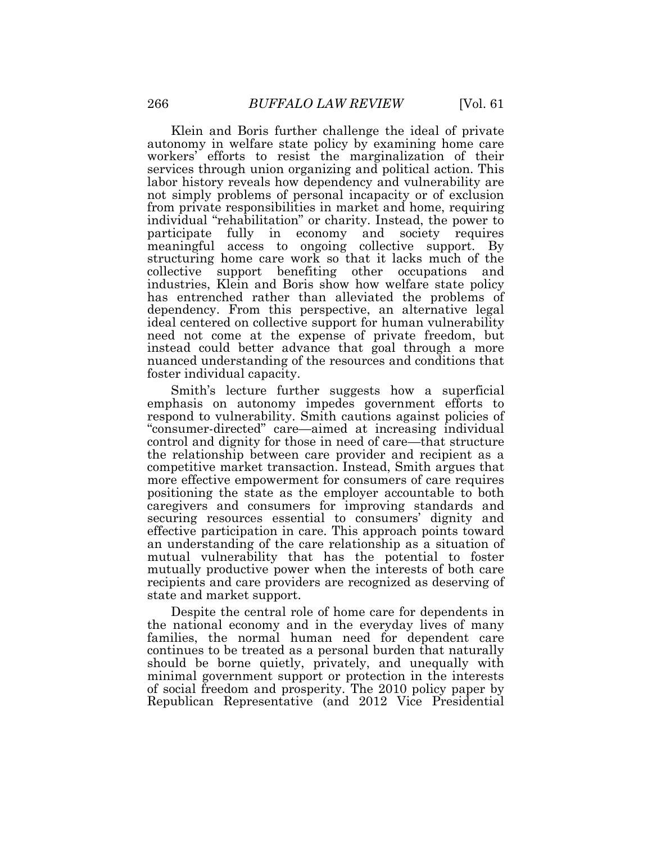Klein and Boris further challenge the ideal of private autonomy in welfare state policy by examining home care workers' efforts to resist the marginalization of their services through union organizing and political action. This labor history reveals how dependency and vulnerability are not simply problems of personal incapacity or of exclusion from private responsibilities in market and home, requiring individual "rehabilitation" or charity. Instead, the power to participate fully in economy and society requires meaningful access to ongoing collective support. By structuring home care work so that it lacks much of the collective support benefiting other occupations and industries, Klein and Boris show how welfare state policy has entrenched rather than alleviated the problems of dependency. From this perspective, an alternative legal ideal centered on collective support for human vulnerability need not come at the expense of private freedom, but instead could better advance that goal through a more nuanced understanding of the resources and conditions that foster individual capacity.

Smith's lecture further suggests how a superficial emphasis on autonomy impedes government efforts to respond to vulnerability. Smith cautions against policies of "consumer-directed" care—aimed at increasing individual control and dignity for those in need of care—that structure the relationship between care provider and recipient as a competitive market transaction. Instead, Smith argues that more effective empowerment for consumers of care requires positioning the state as the employer accountable to both caregivers and consumers for improving standards and securing resources essential to consumers' dignity and effective participation in care. This approach points toward an understanding of the care relationship as a situation of mutual vulnerability that has the potential to foster mutually productive power when the interests of both care recipients and care providers are recognized as deserving of state and market support.

Despite the central role of home care for dependents in the national economy and in the everyday lives of many families, the normal human need for dependent care continues to be treated as a personal burden that naturally should be borne quietly, privately, and unequally with minimal government support or protection in the interests of social freedom and prosperity. The 2010 policy paper by Republican Representative (and 2012 Vice Presidential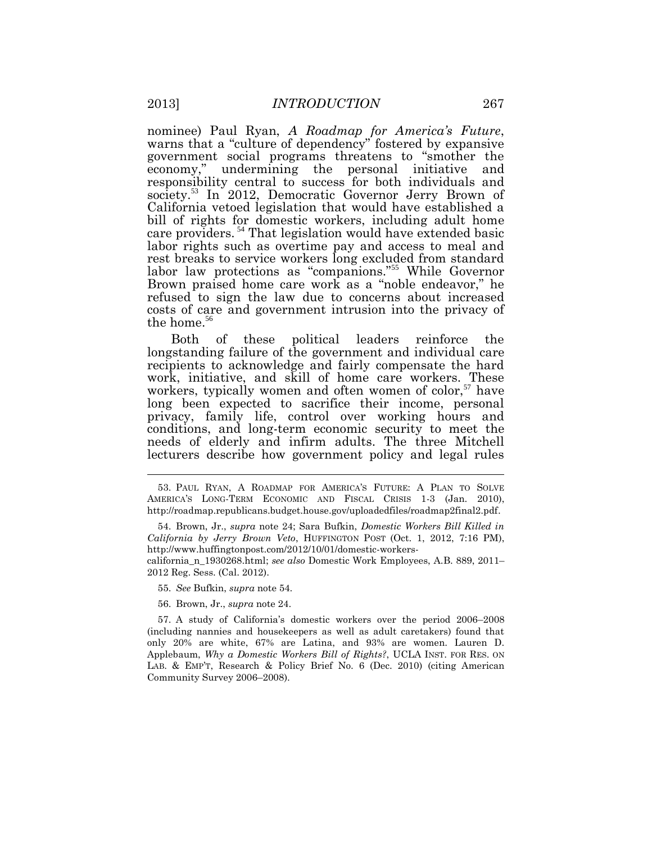nominee) Paul Ryan, *A Roadmap for America's Future*, warns that a "culture of dependency" fostered by expansive government social programs threatens to "smother the economy," undermining the personal initiative and responsibility central to success for both individuals and society.<sup>53</sup> In 2012, Democratic Governor Jerry Brown of California vetoed legislation that would have established a bill of rights for domestic workers, including adult home care providers. <sup>54</sup> That legislation would have extended basic labor rights such as overtime pay and access to meal and rest breaks to service workers long excluded from standard labor law protections as "companions."<sup>55</sup> While Governor Brown praised home care work as a "noble endeavor," he refused to sign the law due to concerns about increased costs of care and government intrusion into the privacy of the home. $56$ 

Both of these political leaders reinforce the longstanding failure of the government and individual care recipients to acknowledge and fairly compensate the hard work, initiative, and skill of home care workers. These workers, typically women and often women of color,<sup>57</sup> have long been expected to sacrifice their income, personal privacy, family life, control over working hours and conditions, and long-term economic security to meet the needs of elderly and infirm adults. The three Mitchell lecturers describe how government policy and legal rules

- 55. *See* Bufkin, *supra* note 54.
- 56. Brown, Jr., *supra* note 24.

57. A study of California's domestic workers over the period 2006–2008 (including nannies and housekeepers as well as adult caretakers) found that only 20% are white, 67% are Latina, and 93% are women. Lauren D. Applebaum, *Why a Domestic Workers Bill of Rights?*, UCLA INST. FOR RES. ON LAB. & EMP'T, Research & Policy Brief No. 6 (Dec. 2010) (citing American Community Survey 2006–2008).

<sup>53.</sup> PAUL RYAN, A ROADMAP FOR AMERICA'S FUTURE: A PLAN TO SOLVE AMERICA'S LONG-TERM ECONOMIC AND FISCAL CRISIS 1-3 (Jan. 2010), http://roadmap.republicans.budget.house.gov/uploadedfiles/roadmap2final2.pdf.

<sup>54.</sup> Brown, Jr., *supra* note 24; Sara Bufkin, *Domestic Workers Bill Killed in California by Jerry Brown Veto*, HUFFINGTON POST (Oct. 1, 2012, 7:16 PM), http://www.huffingtonpost.com/2012/10/01/domestic-workers-

california\_n\_1930268.html; *see also* Domestic Work Employees, A.B. 889, 2011– 2012 Reg. Sess. (Cal. 2012).